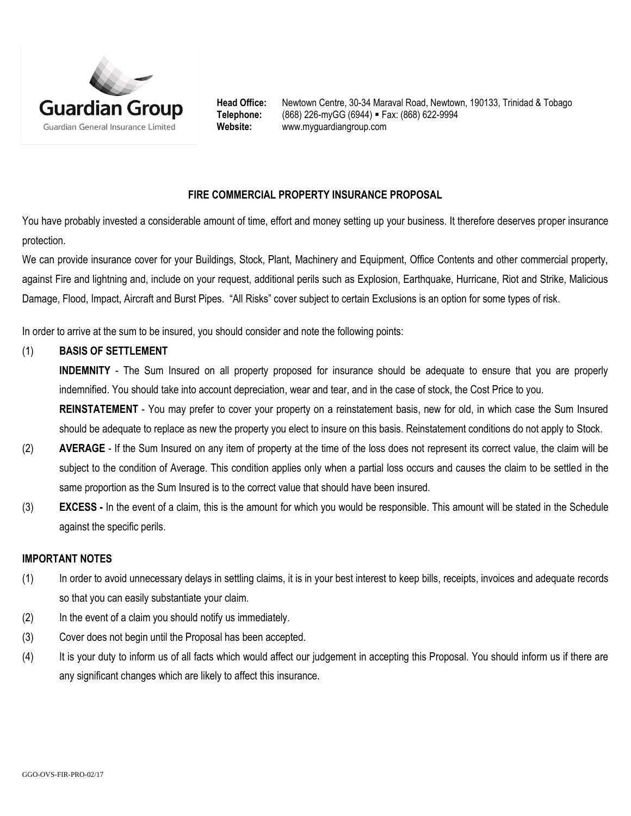

Head Office: Newtown Centre, 30-34 Maraval Road, Newtown, 190133, Trinidad & Tobago **Telephone:** (868) 226-myGG (6944) Fax: (868) 622-9994 **Website:** www.myguardiangroup.com

## **FIRE COMMERCIAL PROPERTY INSURANCE PROPOSAL**

You have probably invested a considerable amount of time, effort and money setting up your business. It therefore deserves proper insurance protection.

We can provide insurance cover for your Buildings, Stock, Plant, Machinery and Equipment, Office Contents and other commercial property, against Fire and lightning and, include on your request, additional perils such as Explosion, Earthquake, Hurricane, Riot and Strike, Malicious Damage, Flood, Impact, Aircraft and Burst Pipes. "All Risks" cover subject to certain Exclusions is an option for some types of risk.

In order to arrive at the sum to be insured, you should consider and note the following points:

### (1) **BASIS OF SETTLEMENT**

**INDEMNITY** - The Sum Insured on all property proposed for insurance should be adequate to ensure that you are properly indemnified. You should take into account depreciation, wear and tear, and in the case of stock, the Cost Price to you.

**REINSTATEMENT** - You may prefer to cover your property on a reinstatement basis, new for old, in which case the Sum Insured should be adequate to replace as new the property you elect to insure on this basis. Reinstatement conditions do not apply to Stock.

- (2) **AVERAGE** If the Sum Insured on any item of property at the time of the loss does not represent its correct value, the claim will be subject to the condition of Average. This condition applies only when a partial loss occurs and causes the claim to be settled in the same proportion as the Sum Insured is to the correct value that should have been insured.
- (3) **EXCESS -** In the event of a claim, this is the amount for which you would be responsible. This amount will be stated in the Schedule against the specific perils.

#### **IMPORTANT NOTES**

- (1) In order to avoid unnecessary delays in settling claims, it is in your best interest to keep bills, receipts, invoices and adequate records so that you can easily substantiate your claim.
- (2) In the event of a claim you should notify us immediately.
- (3) Cover does not begin until the Proposal has been accepted.
- (4) It is your duty to inform us of all facts which would affect our judgement in accepting this Proposal. You should inform us if there are any significant changes which are likely to affect this insurance.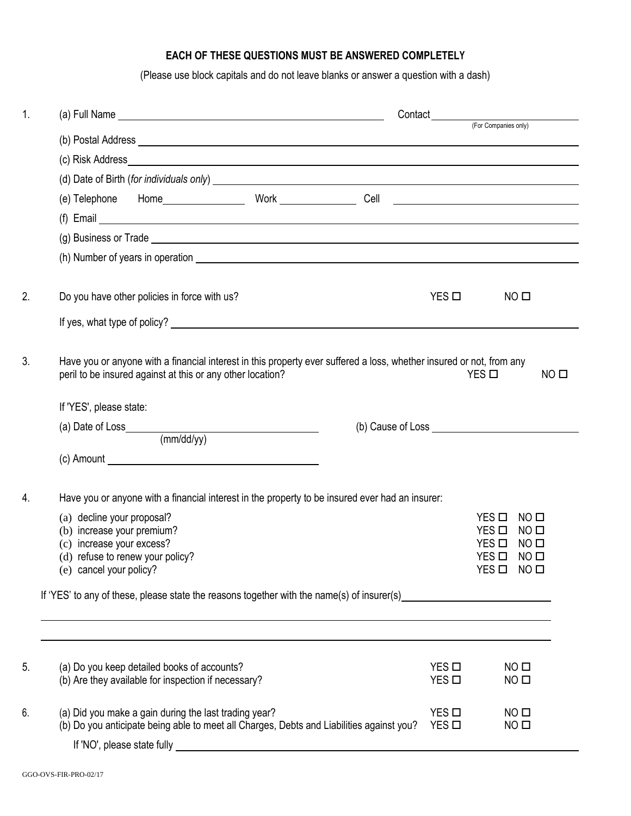# **EACH OF THESE QUESTIONS MUST BE ANSWERED COMPLETELY**

(Please use block capitals and do not leave blanks or answer a question with a dash)

| 1. |                                                                                                                                                                                                                                | Contact<br>(For Companies only)    |                                                                            |  |  |  |  |  |
|----|--------------------------------------------------------------------------------------------------------------------------------------------------------------------------------------------------------------------------------|------------------------------------|----------------------------------------------------------------------------|--|--|--|--|--|
|    |                                                                                                                                                                                                                                |                                    |                                                                            |  |  |  |  |  |
|    |                                                                                                                                                                                                                                |                                    |                                                                            |  |  |  |  |  |
|    | (d) Date of Birth (for individuals only) example and the state of Birth (for individuals only)                                                                                                                                 |                                    |                                                                            |  |  |  |  |  |
|    |                                                                                                                                                                                                                                |                                    |                                                                            |  |  |  |  |  |
|    | $(f)$ Email                                                                                                                                                                                                                    |                                    |                                                                            |  |  |  |  |  |
|    | (g) Business or Trade example and the set of the set of the set of the set of the set of the set of the set of the set of the set of the set of the set of the set of the set of the set of the set of the set of the set of t |                                    |                                                                            |  |  |  |  |  |
|    |                                                                                                                                                                                                                                |                                    |                                                                            |  |  |  |  |  |
|    |                                                                                                                                                                                                                                |                                    |                                                                            |  |  |  |  |  |
| 2. | Do you have other policies in force with us?                                                                                                                                                                                   | $YES$ $\square$                    | NO <sub>II</sub>                                                           |  |  |  |  |  |
|    |                                                                                                                                                                                                                                |                                    |                                                                            |  |  |  |  |  |
| 3. | Have you or anyone with a financial interest in this property ever suffered a loss, whether insured or not, from any<br>peril to be insured against at this or any other location?                                             |                                    | NO <sub>II</sub><br>$YES$ $\square$                                        |  |  |  |  |  |
|    | If 'YES', please state:                                                                                                                                                                                                        |                                    |                                                                            |  |  |  |  |  |
|    |                                                                                                                                                                                                                                |                                    |                                                                            |  |  |  |  |  |
|    | (mm/dd/yy)                                                                                                                                                                                                                     |                                    |                                                                            |  |  |  |  |  |
|    |                                                                                                                                                                                                                                |                                    |                                                                            |  |  |  |  |  |
| 4. | Have you or anyone with a financial interest in the property to be insured ever had an insurer:                                                                                                                                |                                    |                                                                            |  |  |  |  |  |
|    | (a) decline your proposal?                                                                                                                                                                                                     |                                    | YES □<br>NO <sub>II</sub>                                                  |  |  |  |  |  |
|    | (b) increase your premium?<br>(c) increase your excess?                                                                                                                                                                        |                                    | $YES$ $\square$<br>NO <sub>II</sub><br>$YES$ $\square$<br>NO <sub>II</sub> |  |  |  |  |  |
|    | (d) refuse to renew your policy?                                                                                                                                                                                               |                                    | $YES$ $\square$<br>NO <sub>1</sub>                                         |  |  |  |  |  |
|    | (e) cancel your policy?                                                                                                                                                                                                        |                                    | $YES$ $\square$<br>$NO$ $\square$                                          |  |  |  |  |  |
|    | If 'YES' to any of these, please state the reasons together with the name(s) of insurer(s)                                                                                                                                     |                                    |                                                                            |  |  |  |  |  |
|    |                                                                                                                                                                                                                                |                                    |                                                                            |  |  |  |  |  |
| 5. | (a) Do you keep detailed books of accounts?                                                                                                                                                                                    | $YES$ $\square$                    | NO <sub>II</sub>                                                           |  |  |  |  |  |
|    | (b) Are they available for inspection if necessary?                                                                                                                                                                            | $YES$ $\square$                    | NO <sub>II</sub>                                                           |  |  |  |  |  |
| 6. | (a) Did you make a gain during the last trading year?<br>(b) Do you anticipate being able to meet all Charges, Debts and Liabilities against you?                                                                              | $YES$ $\square$<br>$YES$ $\square$ | NO <sub>II</sub><br>NO <sub>1</sub>                                        |  |  |  |  |  |
|    | If 'NO', please state fully example and the state of the state of the state of the state of the state of the state of the state of the state of the state of the state of the state of the state of the state of the state of  |                                    |                                                                            |  |  |  |  |  |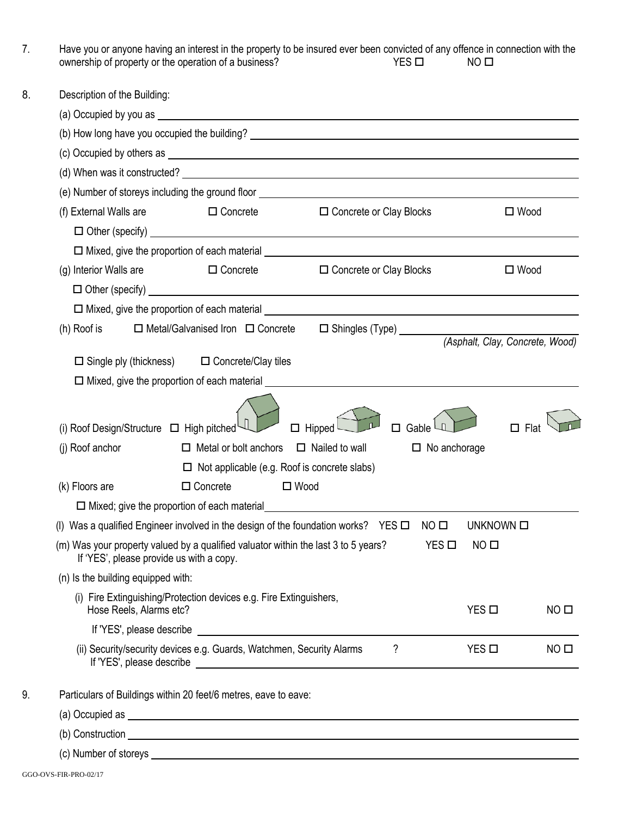| 7. | Have you or anyone having an interest in the property to be insured ever been convicted of any offence in connection with the<br>$YES$ $\square$<br>ownership of property or the operation of a business?<br>NO <sub>II</sub> |
|----|-------------------------------------------------------------------------------------------------------------------------------------------------------------------------------------------------------------------------------|
| 8. | Description of the Building:                                                                                                                                                                                                  |
|    |                                                                                                                                                                                                                               |
|    |                                                                                                                                                                                                                               |
|    | (c) Occupied by others as example and the set of the set of the set of the set of the set of the set of the set of the set of the set of the set of the set of the set of the set of the set of the set of the set of the set |
|    |                                                                                                                                                                                                                               |
|    | (e) Number of storeys including the ground floor example and the state of the state of storeys including the ground floor                                                                                                     |
|    | (f) External Walls are<br><b>Example 2</b> Concrete<br>$\square$ Wood<br>$\Box$ Concrete or Clay Blocks                                                                                                                       |
|    |                                                                                                                                                                                                                               |
|    | $\square$ Mixed, give the proportion of each material $\square$                                                                                                                                                               |
|    | (g) Interior Walls are $\square$ Concrete<br>□ Concrete or Clay Blocks<br>$\Box$ Wood                                                                                                                                         |
|    |                                                                                                                                                                                                                               |
|    |                                                                                                                                                                                                                               |
|    | $\Box$ Metal/Galvanised Iron $\Box$ Concrete<br>(h) Roof is                                                                                                                                                                   |
|    | (Asphalt, Clay, Concrete, Wood)                                                                                                                                                                                               |
|    | $\Box$ Single ply (thickness) $\Box$ Concrete/Clay tiles                                                                                                                                                                      |
|    | $\square$ Mixed, give the proportion of each material $\square$                                                                                                                                                               |
|    | $\Box$ Hipped<br>(i) Roof Design/Structure $\Box$ High pitched<br>Flat<br>п<br>□<br>Gable                                                                                                                                     |
|    | $\Box$ Metal or bolt anchors $\Box$ Nailed to wall<br>(j) Roof anchor<br>$\Box$ No anchorage                                                                                                                                  |
|    | $\Box$ Not applicable (e.g. Roof is concrete slabs)                                                                                                                                                                           |
|    | $\square$ Wood<br>$\Box$ Concrete<br>(k) Floors are                                                                                                                                                                           |
|    | $\Box$ Mixed; give the proportion of each material                                                                                                                                                                            |
|    | Was a qualified Engineer involved in the design of the foundation works? YES $\Box$<br>NO <sub>II</sub><br>UNKNOWN O<br>(1)                                                                                                   |
|    | (m) Was your property valued by a qualified valuator within the last 3 to 5 years?<br>$YES$ $\square$<br>NO <sub>II</sub><br>If 'YES', please provide us with a copy.                                                         |
|    | (n) Is the building equipped with:                                                                                                                                                                                            |
|    | (i) Fire Extinguishing/Protection devices e.g. Fire Extinguishers,<br>Hose Reels, Alarms etc?<br>$YES$ $\square$<br>NO <sub>II</sub>                                                                                          |
|    |                                                                                                                                                                                                                               |
|    | ?<br>$YES$ $\square$<br>NO <sub>II</sub><br>(ii) Security/security devices e.g. Guards, Watchmen, Security Alarms                                                                                                             |
| 9. | Particulars of Buildings within 20 feet/6 metres, eave to eave:                                                                                                                                                               |
|    |                                                                                                                                                                                                                               |
|    |                                                                                                                                                                                                                               |
|    |                                                                                                                                                                                                                               |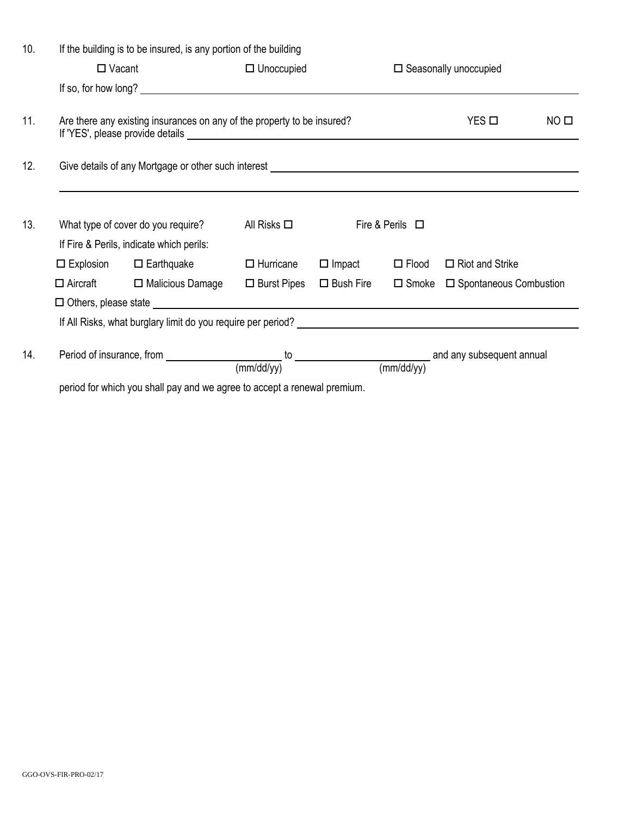| 10.                                                                      | If the building is to be insured, is any portion of the building |                                                                                                                                    |                     |                                 |                 |                                            |                  |
|--------------------------------------------------------------------------|------------------------------------------------------------------|------------------------------------------------------------------------------------------------------------------------------------|---------------------|---------------------------------|-----------------|--------------------------------------------|------------------|
|                                                                          | $\Box$ Vacant                                                    |                                                                                                                                    | $\Box$ Unoccupied   | $\square$ Seasonally unoccupied |                 |                                            |                  |
|                                                                          |                                                                  |                                                                                                                                    |                     |                                 |                 |                                            |                  |
| 11.                                                                      |                                                                  | Are there any existing insurances on any of the property to be insured?                                                            |                     |                                 |                 | $YES$ $\square$                            | NO <sub>II</sub> |
| 12.                                                                      |                                                                  | Give details of any Mortgage or other such interest <b>container and all any of the set of any Mortgage or other such interest</b> |                     |                                 |                 |                                            |                  |
|                                                                          |                                                                  |                                                                                                                                    |                     |                                 |                 |                                            |                  |
| 13.                                                                      |                                                                  | What type of cover do you require?                                                                                                 | All Risks $\square$ | Fire & Perils $\Box$            |                 |                                            |                  |
|                                                                          |                                                                  | If Fire & Perils, indicate which perils:                                                                                           |                     |                                 |                 |                                            |                  |
|                                                                          |                                                                  | $\Box$ Explosion $\Box$ Earthquake                                                                                                 | $\Box$ Hurricane    | $\Box$ Impact                   | $\square$ Flood | $\Box$ Riot and Strike                     |                  |
|                                                                          |                                                                  | $\Box$ Aircraft $\Box$ Malicious Damage                                                                                            | $\Box$ Burst Pipes  | $\square$ Bush Fire             |                 | $\Box$ Smoke $\Box$ Spontaneous Combustion |                  |
|                                                                          |                                                                  |                                                                                                                                    |                     |                                 |                 |                                            |                  |
|                                                                          |                                                                  |                                                                                                                                    |                     |                                 |                 |                                            |                  |
| 14.                                                                      |                                                                  | Period of insurance, from $\frac{1}{(mm/dd/yy)}$ to $\frac{1}{(mm/dd/yy)}$ and any subsequent annual                               |                     |                                 |                 |                                            |                  |
| period for which you shall pay and we agree to accept a renewal premium. |                                                                  |                                                                                                                                    |                     |                                 |                 |                                            |                  |